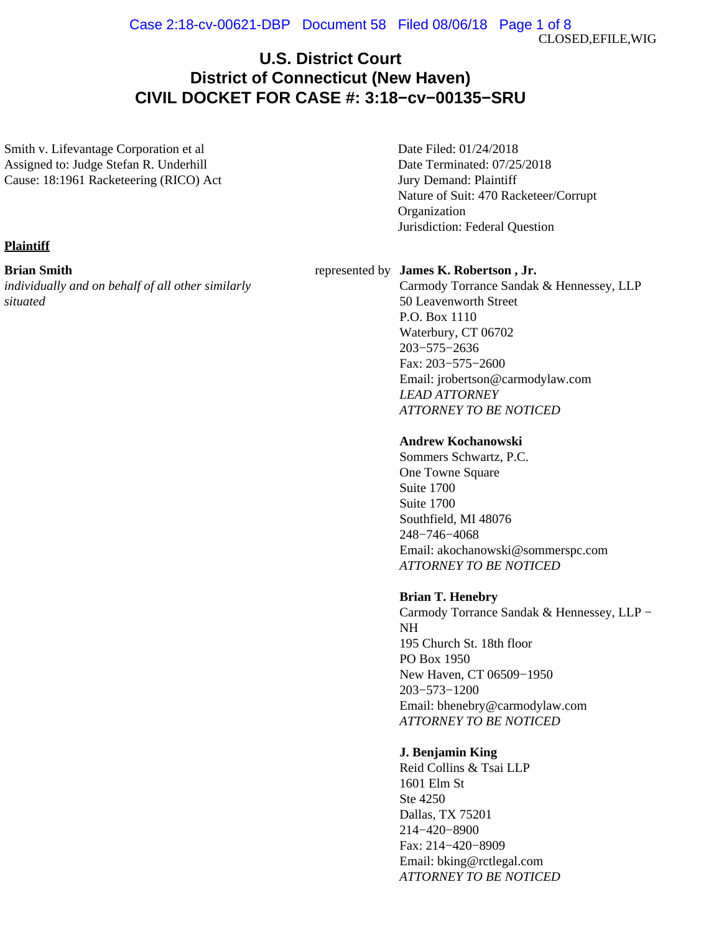CLOSED,EFILE,WIG

# **U.S. District Court District of Connecticut (New Haven) CIVIL DOCKET FOR CASE #: 3:18−cv−00135−SRU**

Smith v. Lifevantage Corporation et al Assigned to: Judge Stefan R. Underhill Cause: 18:1961 Racketeering (RICO) Act Date Filed: 01/24/2018 Date Terminated: 07/25/2018 Jury Demand: Plaintiff Nature of Suit: 470 Racketeer/Corrupt Organization Jurisdiction: Federal Question

# **Plaintiff**

#### **Brian Smith**

*individually and on behalf of all other similarly situated*

#### represented by **James K. Robertson , Jr.**

Carmody Torrance Sandak & Hennessey, LLP 50 Leavenworth Street P.O. Box 1110 Waterbury, CT 06702 203−575−2636 Fax: 203−575−2600 Email: jrobertson@carmodylaw.com *LEAD ATTORNEY ATTORNEY TO BE NOTICED*

# **Andrew Kochanowski**

Sommers Schwartz, P.C. One Towne Square Suite 1700 Suite 1700 Southfield, MI 48076 248−746−4068 Email: akochanowski@sommerspc.com *ATTORNEY TO BE NOTICED*

# **Brian T. Henebry**

Carmody Torrance Sandak & Hennessey, LLP − NH 195 Church St. 18th floor PO Box 1950 New Haven, CT 06509−1950 203−573−1200 Email: bhenebry@carmodylaw.com *ATTORNEY TO BE NOTICED*

# **J. Benjamin King**

Reid Collins & Tsai LLP 1601 Elm St Ste 4250 Dallas, TX 75201 214−420−8900 Fax: 214−420−8909 Email: bking@rctlegal.com *ATTORNEY TO BE NOTICED*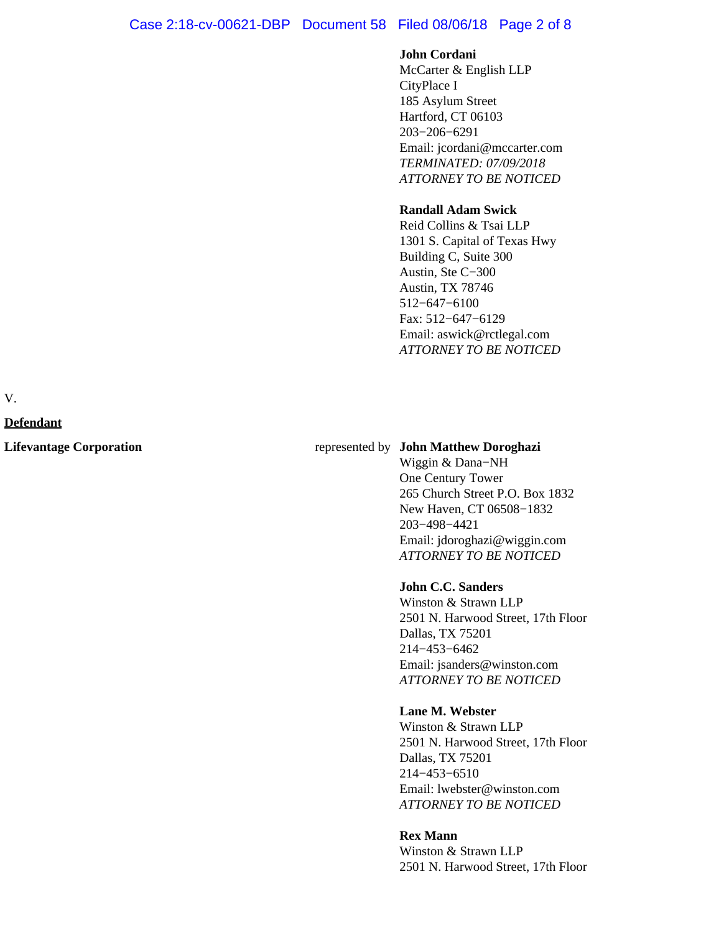# Case 2:18-cv-00621-DBP Document 58 Filed 08/06/18 Page 2 of 8

# **John Cordani**

McCarter & English LLP CityPlace I 185 Asylum Street Hartford, CT 06103 203−206−6291 Email: jcordani@mccarter.com *TERMINATED: 07/09/2018 ATTORNEY TO BE NOTICED*

#### **Randall Adam Swick**

Reid Collins & Tsai LLP 1301 S. Capital of Texas Hwy Building C, Suite 300 Austin, Ste C−300 Austin, TX 78746 512−647−6100 Fax: 512−647−6129 Email: aswick@rctlegal.com *ATTORNEY TO BE NOTICED*

V.

#### **Defendant**

#### **Lifevantage Corporation** represented by **John Matthew Doroghazi**

Wiggin & Dana−NH One Century Tower 265 Church Street P.O. Box 1832 New Haven, CT 06508−1832 203−498−4421 Email: jdoroghazi@wiggin.com *ATTORNEY TO BE NOTICED*

# **John C.C. Sanders**

Winston & Strawn LLP 2501 N. Harwood Street, 17th Floor Dallas, TX 75201 214−453−6462 Email: jsanders@winston.com *ATTORNEY TO BE NOTICED*

#### **Lane M. Webster**

Winston & Strawn LLP 2501 N. Harwood Street, 17th Floor Dallas, TX 75201 214−453−6510 Email: lwebster@winston.com *ATTORNEY TO BE NOTICED*

#### **Rex Mann**

Winston & Strawn LLP 2501 N. Harwood Street, 17th Floor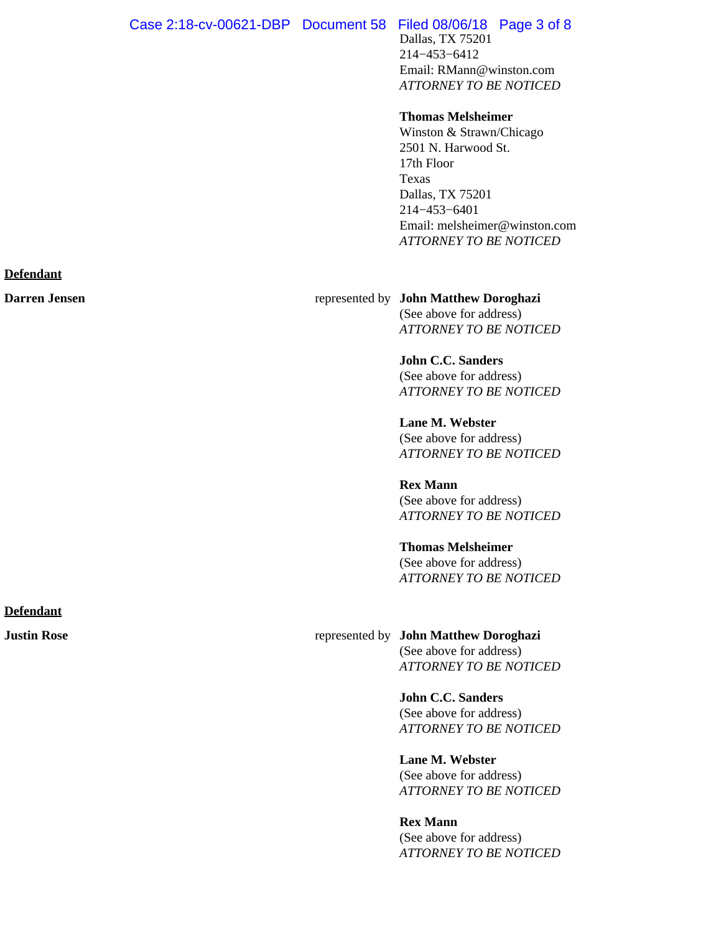Dallas, TX 75201 214−453−6412 Email: RMann@winston.com *ATTORNEY TO BE NOTICED*

#### **Thomas Melsheimer**

Winston & Strawn/Chicago 2501 N. Harwood St. 17th Floor Texas Dallas, TX 75201 214−453−6401 Email: melsheimer@winston.com *ATTORNEY TO BE NOTICED*

**Darren Jensen** represented by **John Matthew Doroghazi** (See above for address) *ATTORNEY TO BE NOTICED*

> **John C.C. Sanders** (See above for address) *ATTORNEY TO BE NOTICED*

> **Lane M. Webster** (See above for address) *ATTORNEY TO BE NOTICED*

> **Rex Mann** (See above for address) *ATTORNEY TO BE NOTICED*

#### **Thomas Melsheimer**

(See above for address) *ATTORNEY TO BE NOTICED*

# **Justin Rose** represented by **John Matthew Doroghazi**

(See above for address) *ATTORNEY TO BE NOTICED*

**John C.C. Sanders** (See above for address) *ATTORNEY TO BE NOTICED*

**Lane M. Webster** (See above for address) *ATTORNEY TO BE NOTICED*

**Rex Mann** (See above for address) *ATTORNEY TO BE NOTICED*

#### **Defendant**

**Defendant**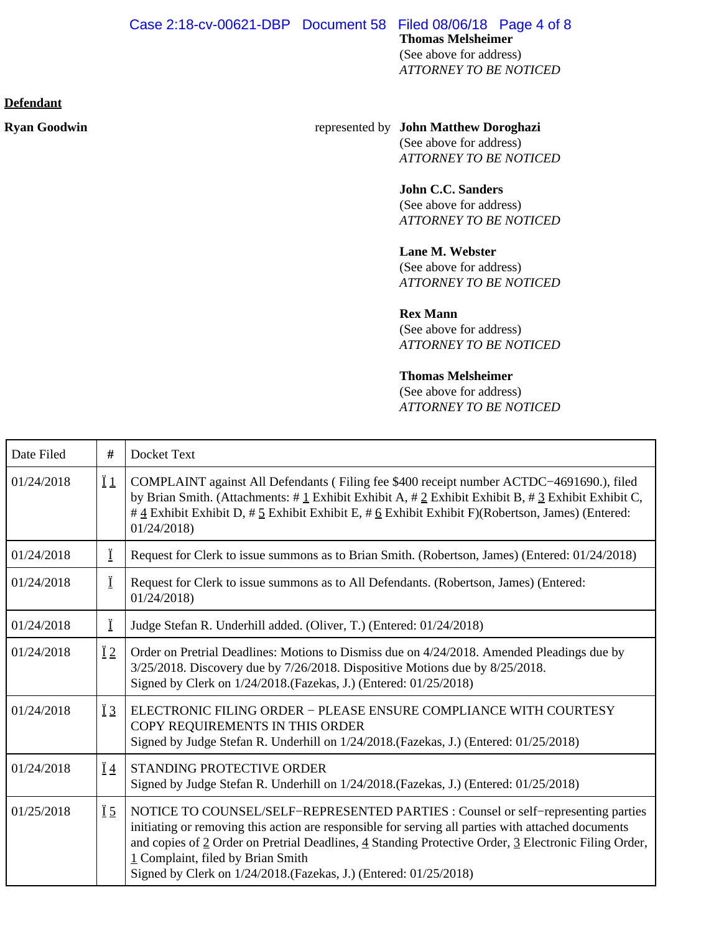#### **Defendant**

#### **Ryan Goodwin** represented by **John Matthew Doroghazi** (See above for address)

*ATTORNEY TO BE NOTICED*

# **John C.C. Sanders**

(See above for address) *ATTORNEY TO BE NOTICED*

# **Lane M. Webster**

(See above for address) *ATTORNEY TO BE NOTICED*

# **Rex Mann**

(See above for address) *ATTORNEY TO BE NOTICED*

# **Thomas Melsheimer**

(See above for address) *ATTORNEY TO BE NOTICED*

| Date Filed | $\#$            | Docket Text                                                                                                                                                                                                                                                                                                                                                                                               |
|------------|-----------------|-----------------------------------------------------------------------------------------------------------------------------------------------------------------------------------------------------------------------------------------------------------------------------------------------------------------------------------------------------------------------------------------------------------|
| 01/24/2018 | $\overline{11}$ | COMPLAINT against All Defendants (Filing fee \$400 receipt number ACTDC-4691690.), filed<br>by Brian Smith. (Attachments: #1 Exhibit Exhibit A, #2 Exhibit Exhibit B, #3 Exhibit Exhibit C,<br># $\frac{4}{3}$ Exhibit Exhibit D, # $\frac{5}{2}$ Exhibit Exhibit E, # $\frac{6}{2}$ Exhibit Exhibit F)(Robertson, James) (Entered:<br>01/24/2018                                                         |
| 01/24/2018 | Ï               | Request for Clerk to issue summons as to Brian Smith. (Robertson, James) (Entered: 01/24/2018)                                                                                                                                                                                                                                                                                                            |
| 01/24/2018 | Ϊ               | Request for Clerk to issue summons as to All Defendants. (Robertson, James) (Entered:<br>01/24/2018                                                                                                                                                                                                                                                                                                       |
| 01/24/2018 | Ï               | Judge Stefan R. Underhill added. (Oliver, T.) (Entered: 01/24/2018)                                                                                                                                                                                                                                                                                                                                       |
| 01/24/2018 | $\ddot{I}2$     | Order on Pretrial Deadlines: Motions to Dismiss due on 4/24/2018. Amended Pleadings due by<br>3/25/2018. Discovery due by 7/26/2018. Dispositive Motions due by 8/25/2018.<br>Signed by Clerk on 1/24/2018.(Fazekas, J.) (Entered: 01/25/2018)                                                                                                                                                            |
| 01/24/2018 | $\overline{1}3$ | ELECTRONIC FILING ORDER - PLEASE ENSURE COMPLIANCE WITH COURTESY<br>COPY REQUIREMENTS IN THIS ORDER<br>Signed by Judge Stefan R. Underhill on $1/24/2018$ . (Fazekas, J.) (Entered: 01/25/2018)                                                                                                                                                                                                           |
| 01/24/2018 | $\overline{1}4$ | <b>STANDING PROTECTIVE ORDER</b><br>Signed by Judge Stefan R. Underhill on $1/24/2018$ . (Fazekas, J.) (Entered: 01/25/2018)                                                                                                                                                                                                                                                                              |
| 01/25/2018 | $\overline{1}5$ | NOTICE TO COUNSEL/SELF-REPRESENTED PARTIES : Counsel or self-representing parties<br>initiating or removing this action are responsible for serving all parties with attached documents<br>and copies of 2 Order on Pretrial Deadlines, 4 Standing Protective Order, 3 Electronic Filing Order,<br>1 Complaint, filed by Brian Smith<br>Signed by Clerk on 1/24/2018. (Fazekas, J.) (Entered: 01/25/2018) |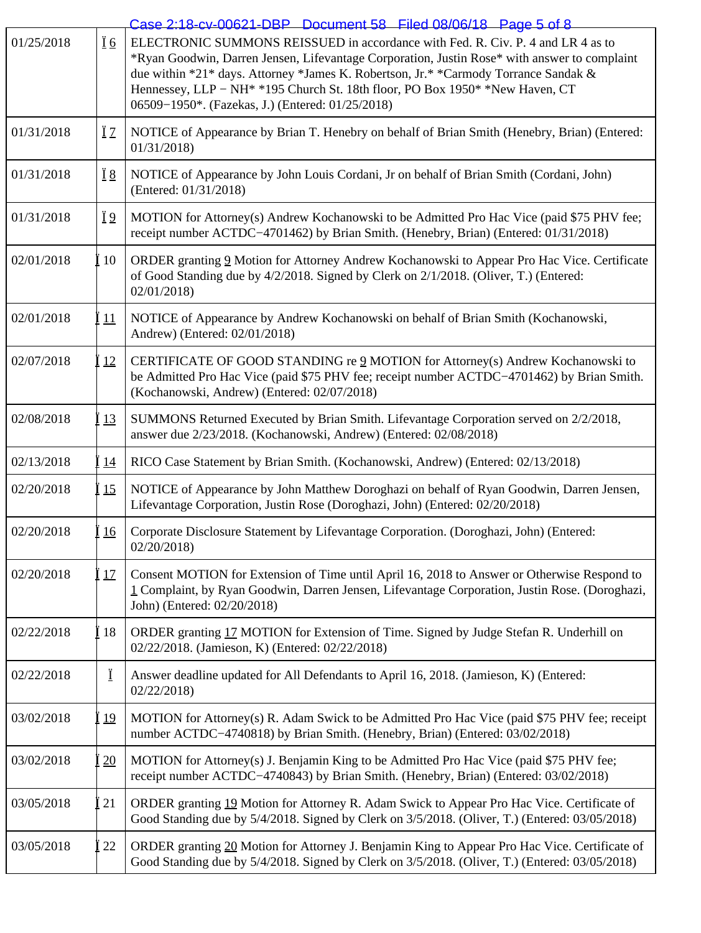|            |                | Case 2:18-cy-00621-DBP Document 58 Filed 08/06/18 Page 5 of 8                                                                                                                                                                                                                                                                                                                                                                      |
|------------|----------------|------------------------------------------------------------------------------------------------------------------------------------------------------------------------------------------------------------------------------------------------------------------------------------------------------------------------------------------------------------------------------------------------------------------------------------|
| 01/25/2018 | <u>Ï 6</u>     | ELECTRONIC SUMMONS REISSUED in accordance with Fed. R. Civ. P. 4 and LR 4 as to<br>*Ryan Goodwin, Darren Jensen, Lifevantage Corporation, Justin Rose* with answer to complaint<br>due within *21* days. Attorney *James K. Robertson, Jr.* *Carmody Torrance Sandak &<br>Hennessey, LLP - NH <sup>*</sup> *195 Church St. 18th floor, PO Box 1950 <sup>*</sup> *New Haven, CT<br>06509-1950*. (Fazekas, J.) (Entered: 01/25/2018) |
| 01/31/2018 | ΪZ             | NOTICE of Appearance by Brian T. Henebry on behalf of Brian Smith (Henebry, Brian) (Entered:<br>01/31/2018                                                                                                                                                                                                                                                                                                                         |
| 01/31/2018 | <u>Ï8</u>      | NOTICE of Appearance by John Louis Cordani, Jr on behalf of Brian Smith (Cordani, John)<br>(Entered: 01/31/2018)                                                                                                                                                                                                                                                                                                                   |
| 01/31/2018 | Ϊ <sup>9</sup> | MOTION for Attorney(s) Andrew Kochanowski to be Admitted Pro Hac Vice (paid \$75 PHV fee;<br>receipt number ACTDC-4701462) by Brian Smith. (Henebry, Brian) (Entered: 01/31/2018)                                                                                                                                                                                                                                                  |
| 02/01/2018 | 10             | ORDER granting 9 Motion for Attorney Andrew Kochanowski to Appear Pro Hac Vice. Certificate<br>of Good Standing due by 4/2/2018. Signed by Clerk on 2/1/2018. (Oliver, T.) (Entered:<br>02/01/2018                                                                                                                                                                                                                                 |
| 02/01/2018 | 11             | NOTICE of Appearance by Andrew Kochanowski on behalf of Brian Smith (Kochanowski,<br>Andrew) (Entered: 02/01/2018)                                                                                                                                                                                                                                                                                                                 |
| 02/07/2018 | <u>12</u>      | CERTIFICATE OF GOOD STANDING re 2 MOTION for Attorney(s) Andrew Kochanowski to<br>be Admitted Pro Hac Vice (paid \$75 PHV fee; receipt number ACTDC-4701462) by Brian Smith.<br>(Kochanowski, Andrew) (Entered: 02/07/2018)                                                                                                                                                                                                        |
| 02/08/2018 | <u>13</u>      | SUMMONS Returned Executed by Brian Smith. Lifevantage Corporation served on 2/2/2018,<br>answer due 2/23/2018. (Kochanowski, Andrew) (Entered: 02/08/2018)                                                                                                                                                                                                                                                                         |
| 02/13/2018 | <u>14</u>      | RICO Case Statement by Brian Smith. (Kochanowski, Andrew) (Entered: 02/13/2018)                                                                                                                                                                                                                                                                                                                                                    |
| 02/20/2018 | 15             | NOTICE of Appearance by John Matthew Doroghazi on behalf of Ryan Goodwin, Darren Jensen,<br>Lifevantage Corporation, Justin Rose (Doroghazi, John) (Entered: 02/20/2018)                                                                                                                                                                                                                                                           |
| 02/20/2018 | <u>16</u>      | Corporate Disclosure Statement by Lifevantage Corporation. (Doroghazi, John) (Entered:<br>02/20/2018                                                                                                                                                                                                                                                                                                                               |
| 02/20/2018 | 17             | Consent MOTION for Extension of Time until April 16, 2018 to Answer or Otherwise Respond to<br>1 Complaint, by Ryan Goodwin, Darren Jensen, Lifevantage Corporation, Justin Rose. (Doroghazi,<br>John) (Entered: 02/20/2018)                                                                                                                                                                                                       |
| 02/22/2018 | 18             | ORDER granting 17 MOTION for Extension of Time. Signed by Judge Stefan R. Underhill on<br>02/22/2018. (Jamieson, K) (Entered: 02/22/2018)                                                                                                                                                                                                                                                                                          |
| 02/22/2018 | Ï              | Answer deadline updated for All Defendants to April 16, 2018. (Jamieson, K) (Entered:<br>02/22/2018                                                                                                                                                                                                                                                                                                                                |
| 03/02/2018 | 19             | MOTION for Attorney(s) R. Adam Swick to be Admitted Pro Hac Vice (paid \$75 PHV fee; receipt<br>number ACTDC-4740818) by Brian Smith. (Henebry, Brian) (Entered: 03/02/2018)                                                                                                                                                                                                                                                       |
| 03/02/2018 | 20             | MOTION for Attorney(s) J. Benjamin King to be Admitted Pro Hac Vice (paid \$75 PHV fee;<br>receipt number ACTDC-4740843) by Brian Smith. (Henebry, Brian) (Entered: 03/02/2018)                                                                                                                                                                                                                                                    |
| 03/05/2018 | 21             | ORDER granting 19 Motion for Attorney R. Adam Swick to Appear Pro Hac Vice. Certificate of<br>Good Standing due by 5/4/2018. Signed by Clerk on 3/5/2018. (Oliver, T.) (Entered: 03/05/2018)                                                                                                                                                                                                                                       |
| 03/05/2018 | 22             | ORDER granting 20 Motion for Attorney J. Benjamin King to Appear Pro Hac Vice. Certificate of<br>Good Standing due by 5/4/2018. Signed by Clerk on 3/5/2018. (Oliver, T.) (Entered: 03/05/2018)                                                                                                                                                                                                                                    |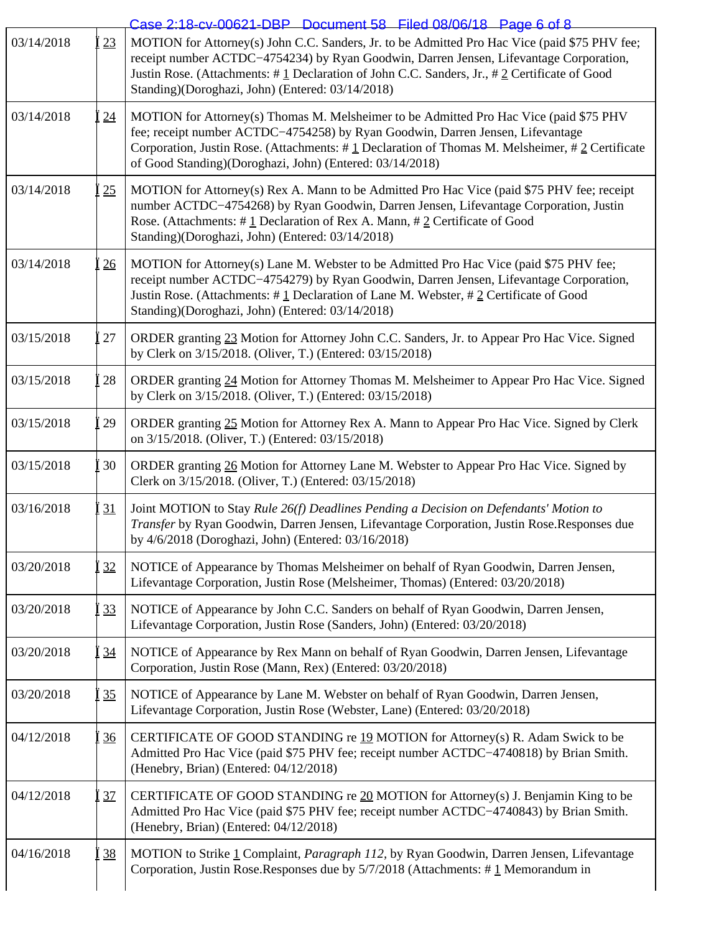|            |                 | Case 2:18-cv-00621-DBP Document 58 Filed 08/06/18 Page 6 of 8                                                                                                                                                                                                                                                                              |
|------------|-----------------|--------------------------------------------------------------------------------------------------------------------------------------------------------------------------------------------------------------------------------------------------------------------------------------------------------------------------------------------|
| 03/14/2018 | 23              | MOTION for Attorney(s) John C.C. Sanders, Jr. to be Admitted Pro Hac Vice (paid \$75 PHV fee;<br>receipt number ACTDC-4754234) by Ryan Goodwin, Darren Jensen, Lifevantage Corporation,<br>Justin Rose. (Attachments: #1 Declaration of John C.C. Sanders, Jr., #2 Certificate of Good<br>Standing)(Doroghazi, John) (Entered: 03/14/2018) |
| 03/14/2018 | 24              | MOTION for Attorney(s) Thomas M. Melsheimer to be Admitted Pro Hac Vice (paid \$75 PHV<br>fee; receipt number ACTDC-4754258) by Ryan Goodwin, Darren Jensen, Lifevantage<br>Corporation, Justin Rose. (Attachments: #1 Declaration of Thomas M. Melsheimer, #2 Certificate<br>of Good Standing)(Doroghazi, John) (Entered: 03/14/2018)     |
| 03/14/2018 | 25              | MOTION for Attorney(s) Rex A. Mann to be Admitted Pro Hac Vice (paid \$75 PHV fee; receipt<br>number ACTDC-4754268) by Ryan Goodwin, Darren Jensen, Lifevantage Corporation, Justin<br>Rose. (Attachments: #1 Declaration of Rex A. Mann, #2 Certificate of Good<br>Standing)(Doroghazi, John) (Entered: 03/14/2018)                       |
| 03/14/2018 | 26              | MOTION for Attorney(s) Lane M. Webster to be Admitted Pro Hac Vice (paid \$75 PHV fee;<br>receipt number ACTDC-4754279) by Ryan Goodwin, Darren Jensen, Lifevantage Corporation,<br>Justin Rose. (Attachments: $\#$ 1 Declaration of Lane M. Webster, $\#$ 2 Certificate of Good<br>Standing)(Doroghazi, John) (Entered: 03/14/2018)       |
| 03/15/2018 | 27              | ORDER granting 23 Motion for Attorney John C.C. Sanders, Jr. to Appear Pro Hac Vice. Signed<br>by Clerk on 3/15/2018. (Oliver, T.) (Entered: 03/15/2018)                                                                                                                                                                                   |
| 03/15/2018 | 28              | ORDER granting 24 Motion for Attorney Thomas M. Melsheimer to Appear Pro Hac Vice. Signed<br>by Clerk on 3/15/2018. (Oliver, T.) (Entered: 03/15/2018)                                                                                                                                                                                     |
| 03/15/2018 | 29              | ORDER granting 25 Motion for Attorney Rex A. Mann to Appear Pro Hac Vice. Signed by Clerk<br>on 3/15/2018. (Oliver, T.) (Entered: 03/15/2018)                                                                                                                                                                                              |
| 03/15/2018 | 30              | ORDER granting 26 Motion for Attorney Lane M. Webster to Appear Pro Hac Vice. Signed by<br>Clerk on 3/15/2018. (Oliver, T.) (Entered: 03/15/2018)                                                                                                                                                                                          |
| 03/16/2018 | 31              | Joint MOTION to Stay Rule 26(f) Deadlines Pending a Decision on Defendants' Motion to<br>Transfer by Ryan Goodwin, Darren Jensen, Lifevantage Corporation, Justin Rose.Responses due<br>by 4/6/2018 (Doroghazi, John) (Entered: 03/16/2018)                                                                                                |
| 03/20/2018 | 32              | NOTICE of Appearance by Thomas Melsheimer on behalf of Ryan Goodwin, Darren Jensen,<br>Lifevantage Corporation, Justin Rose (Melsheimer, Thomas) (Entered: 03/20/2018)                                                                                                                                                                     |
| 03/20/2018 | 33              | NOTICE of Appearance by John C.C. Sanders on behalf of Ryan Goodwin, Darren Jensen,<br>Lifevantage Corporation, Justin Rose (Sanders, John) (Entered: 03/20/2018)                                                                                                                                                                          |
| 03/20/2018 | 34              | NOTICE of Appearance by Rex Mann on behalf of Ryan Goodwin, Darren Jensen, Lifevantage<br>Corporation, Justin Rose (Mann, Rex) (Entered: 03/20/2018)                                                                                                                                                                                       |
| 03/20/2018 | 35              | NOTICE of Appearance by Lane M. Webster on behalf of Ryan Goodwin, Darren Jensen,<br>Lifevantage Corporation, Justin Rose (Webster, Lane) (Entered: 03/20/2018)                                                                                                                                                                            |
| 04/12/2018 | $\overline{36}$ | CERTIFICATE OF GOOD STANDING re 19 MOTION for Attorney(s) R. Adam Swick to be<br>Admitted Pro Hac Vice (paid \$75 PHV fee; receipt number ACTDC-4740818) by Brian Smith.<br>(Henebry, Brian) (Entered: 04/12/2018)                                                                                                                         |
| 04/12/2018 | 37              | CERTIFICATE OF GOOD STANDING re 20 MOTION for Attorney(s) J. Benjamin King to be<br>Admitted Pro Hac Vice (paid \$75 PHV fee; receipt number ACTDC-4740843) by Brian Smith.<br>(Henebry, Brian) (Entered: 04/12/2018)                                                                                                                      |
| 04/16/2018 | 38              | MOTION to Strike 1 Complaint, Paragraph 112, by Ryan Goodwin, Darren Jensen, Lifevantage<br>Corporation, Justin Rose.Responses due by $5/7/2018$ (Attachments: #1 Memorandum in                                                                                                                                                            |
|            |                 |                                                                                                                                                                                                                                                                                                                                            |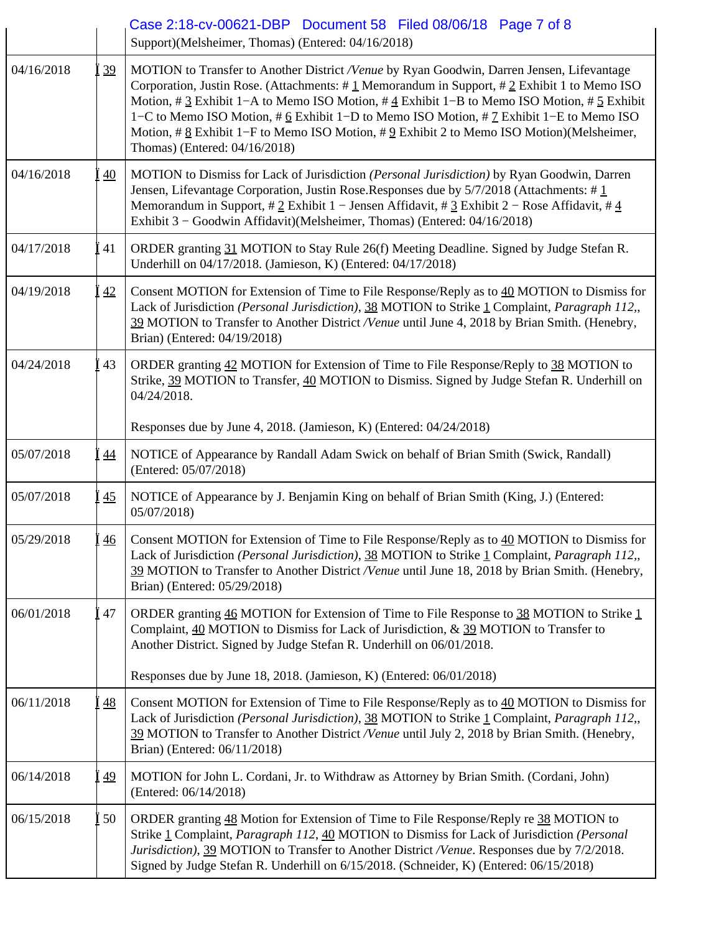|            |                 | Case 2:18-cv-00621-DBP Document 58 Filed 08/06/18 Page 7 of 8<br>Support)(Melsheimer, Thomas) (Entered: 04/16/2018)                                                                                                                                                                                                                                                                                                                                                                                                                                                                   |
|------------|-----------------|---------------------------------------------------------------------------------------------------------------------------------------------------------------------------------------------------------------------------------------------------------------------------------------------------------------------------------------------------------------------------------------------------------------------------------------------------------------------------------------------------------------------------------------------------------------------------------------|
| 04/16/2018 | 39              | MOTION to Transfer to Another District /Venue by Ryan Goodwin, Darren Jensen, Lifevantage<br>Corporation, Justin Rose. (Attachments: #1 Memorandum in Support, #2 Exhibit 1 to Memo ISO<br>Motion, # $\underline{3}$ Exhibit 1–A to Memo ISO Motion, # $\underline{4}$ Exhibit 1–B to Memo ISO Motion, # $\underline{5}$ Exhibit<br>1–C to Memo ISO Motion, # 6 Exhibit 1–D to Memo ISO Motion, # 7 Exhibit 1–E to Memo ISO<br>Motion, # $\underline{8}$ Exhibit 1–F to Memo ISO Motion, # $\underline{9}$ Exhibit 2 to Memo ISO Motion)(Melsheimer,<br>Thomas) (Entered: 04/16/2018) |
| 04/16/2018 | $\overline{40}$ | MOTION to Dismiss for Lack of Jurisdiction ( <i>Personal Jurisdiction</i> ) by Ryan Goodwin, Darren<br>Jensen, Lifevantage Corporation, Justin Rose.Responses due by $5/7/2018$ (Attachments: # $1$<br>Memorandum in Support, # 2 Exhibit 1 - Jensen Affidavit, # $\frac{3}{2}$ Exhibit 2 - Rose Affidavit, # $\frac{4}{3}$<br>Exhibit 3 - Goodwin Affidavit)(Melsheimer, Thomas) (Entered: 04/16/2018)                                                                                                                                                                               |
| 04/17/2018 | 41              | ORDER granting 31 MOTION to Stay Rule 26(f) Meeting Deadline. Signed by Judge Stefan R.<br>Underhill on 04/17/2018. (Jamieson, K) (Entered: 04/17/2018)                                                                                                                                                                                                                                                                                                                                                                                                                               |
| 04/19/2018 | 42              | Consent MOTION for Extension of Time to File Response/Reply as to 40 MOTION to Dismiss for<br>Lack of Jurisdiction (Personal Jurisdiction), 38 MOTION to Strike 1 Complaint, Paragraph 112,<br>39 MOTION to Transfer to Another District /Venue until June 4, 2018 by Brian Smith. (Henebry,<br>Brian) (Entered: 04/19/2018)                                                                                                                                                                                                                                                          |
| 04/24/2018 | 43              | ORDER granting 42 MOTION for Extension of Time to File Response/Reply to 38 MOTION to<br>Strike, 39 MOTION to Transfer, 40 MOTION to Dismiss. Signed by Judge Stefan R. Underhill on<br>04/24/2018.                                                                                                                                                                                                                                                                                                                                                                                   |
|            |                 | Responses due by June 4, 2018. (Jamieson, K) (Entered: 04/24/2018)                                                                                                                                                                                                                                                                                                                                                                                                                                                                                                                    |
| 05/07/2018 | 44              | NOTICE of Appearance by Randall Adam Swick on behalf of Brian Smith (Swick, Randall)<br>(Entered: 05/07/2018)                                                                                                                                                                                                                                                                                                                                                                                                                                                                         |
| 05/07/2018 | 45              | NOTICE of Appearance by J. Benjamin King on behalf of Brian Smith (King, J.) (Entered:<br>05/07/2018)                                                                                                                                                                                                                                                                                                                                                                                                                                                                                 |
| 05/29/2018 | $\overline{46}$ | Consent MOTION for Extension of Time to File Response/Reply as to $40$ MOTION to Dismiss for<br>Lack of Jurisdiction (Personal Jurisdiction), 38 MOTION to Strike 1 Complaint, Paragraph 112,<br>39 MOTION to Transfer to Another District Nenue until June 18, 2018 by Brian Smith. (Henebry,<br>Brian) (Entered: 05/29/2018)                                                                                                                                                                                                                                                        |
| 06/01/2018 | 47              | ORDER granting $46$ MOTION for Extension of Time to File Response to $38$ MOTION to Strike 1<br>Complaint, 40 MOTION to Dismiss for Lack of Jurisdiction, & 39 MOTION to Transfer to<br>Another District. Signed by Judge Stefan R. Underhill on 06/01/2018.                                                                                                                                                                                                                                                                                                                          |
|            |                 | Responses due by June 18, 2018. (Jamieson, K) (Entered: 06/01/2018)                                                                                                                                                                                                                                                                                                                                                                                                                                                                                                                   |
| 06/11/2018 | <u>48</u>       | Consent MOTION for Extension of Time to File Response/Reply as to 40 MOTION to Dismiss for<br>Lack of Jurisdiction (Personal Jurisdiction), 38 MOTION to Strike 1 Complaint, Paragraph 112,,<br>39 MOTION to Transfer to Another District /Venue until July 2, 2018 by Brian Smith. (Henebry,<br>Brian) (Entered: 06/11/2018)                                                                                                                                                                                                                                                         |
| 06/14/2018 | 49              | MOTION for John L. Cordani, Jr. to Withdraw as Attorney by Brian Smith. (Cordani, John)<br>(Entered: 06/14/2018)                                                                                                                                                                                                                                                                                                                                                                                                                                                                      |
| 06/15/2018 | 50              | ORDER granting 48 Motion for Extension of Time to File Response/Reply re 38 MOTION to<br>Strike 1 Complaint, Paragraph 112, 40 MOTION to Dismiss for Lack of Jurisdiction (Personal<br>Jurisdiction), 39 MOTION to Transfer to Another District /Venue. Responses due by 7/2/2018.<br>Signed by Judge Stefan R. Underhill on 6/15/2018. (Schneider, K) (Entered: 06/15/2018)                                                                                                                                                                                                          |